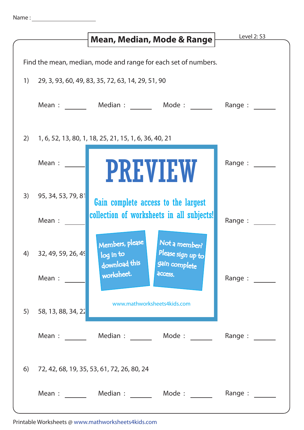|                                                                |                               | Mean, Median, Mode & Range                                                                           | Level 2: S3                                                                                                             |
|----------------------------------------------------------------|-------------------------------|------------------------------------------------------------------------------------------------------|-------------------------------------------------------------------------------------------------------------------------|
|                                                                |                               |                                                                                                      |                                                                                                                         |
| Find the mean, median, mode and range for each set of numbers. |                               |                                                                                                      |                                                                                                                         |
| 1)                                                             |                               | 29, 3, 93, 60, 49, 83, 35, 72, 63, 14, 29, 51, 90                                                    |                                                                                                                         |
|                                                                |                               | Mean : Median : Mode : Mode :                                                                        | Range :                                                                                                                 |
| 2)                                                             |                               | 1, 6, 52, 13, 80, 1, 18, 25, 21, 15, 1, 6, 36, 40, 21                                                |                                                                                                                         |
|                                                                | Mean :                        | <b>PREVIEW</b>                                                                                       | Range :                                                                                                                 |
| 3)                                                             | 95, 34, 53, 79, 81<br>Mean :  | Gain complete access to the largest<br>collection of worksheets in all subjects!                     | Range :                                                                                                                 |
| 4)                                                             | 32, 49, 59, 26, 49            | Members, please<br>Not a member?<br>Please sign up to<br>log in to<br>download this<br>gain complete |                                                                                                                         |
|                                                                | Mean :                        | worksheet.<br>access.<br>www.mathworksheets4kids.com                                                 | Range :                                                                                                                 |
| 5)                                                             | 58, 13, 88, 34, 22            |                                                                                                      |                                                                                                                         |
|                                                                | Mean : $\qquad \qquad \qquad$ | Median : Mode :                                                                                      | Range : $\frac{1}{\sqrt{1-\frac{1}{2}}\sqrt{1-\frac{1}{2}}\sqrt{1-\frac{1}{2}}\sqrt{1-\frac{1}{2}}\sqrt{1-\frac{1}{2}}$ |
| 6)                                                             |                               | 72, 42, 68, 19, 35, 53, 61, 72, 26, 80, 24                                                           |                                                                                                                         |
|                                                                |                               | Mean : Median : Mode : Mode :                                                                        | Range :                                                                                                                 |